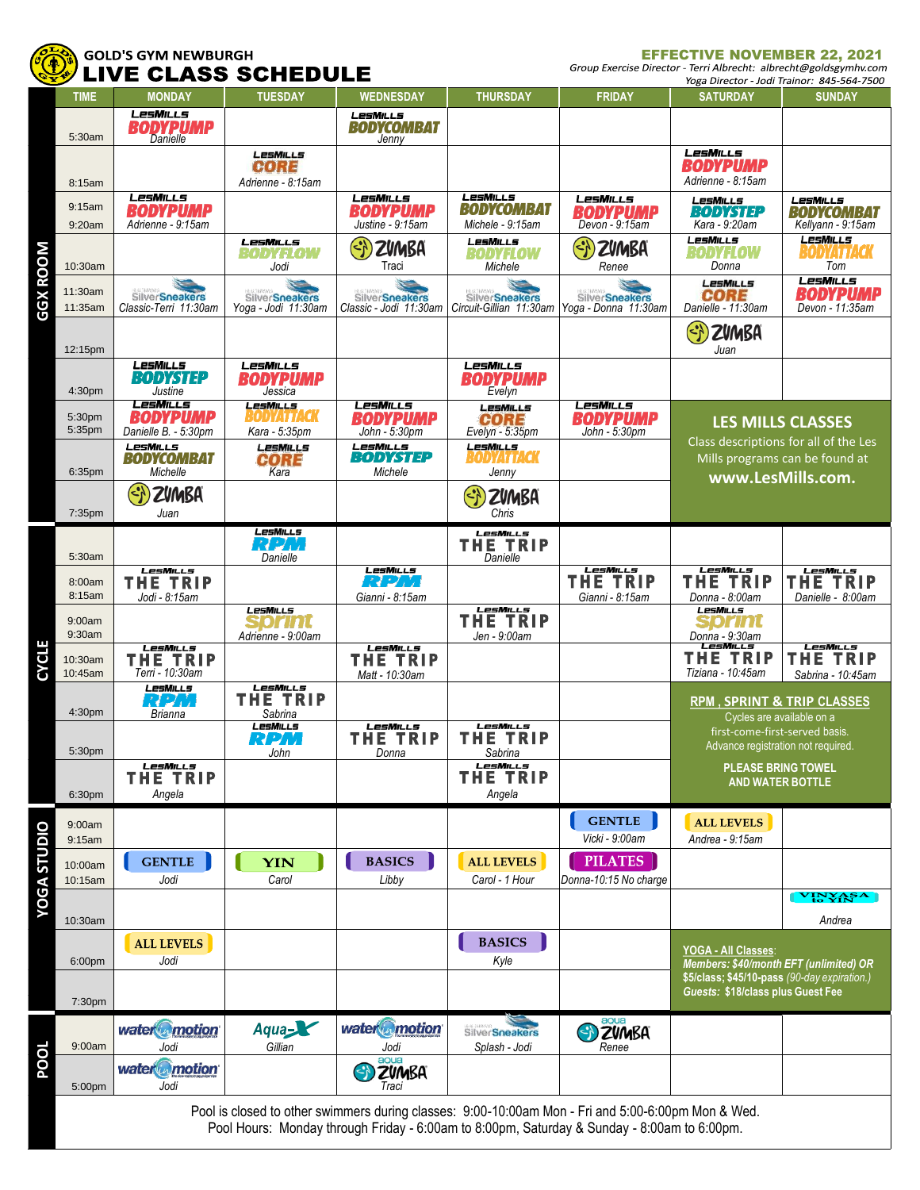

## **GOLD'S GYM NEWBURGH<br>LIVE CLASS SCHEDULE**

EFFECTIVE NOVEMBER 22, 2021<br>Group Exercise Director - Terri Albrecht: albrecht@goldsgymhv.com

|                                                                                                                                                                                                   |                    | ULAJJ                                                 | JUNEDULE                                       |                                                     |                                                     |                                                                       |                                                                                                                              | Yoga Director - Jodi Trainor: 845-564-7500            |  |
|---------------------------------------------------------------------------------------------------------------------------------------------------------------------------------------------------|--------------------|-------------------------------------------------------|------------------------------------------------|-----------------------------------------------------|-----------------------------------------------------|-----------------------------------------------------------------------|------------------------------------------------------------------------------------------------------------------------------|-------------------------------------------------------|--|
|                                                                                                                                                                                                   | <b>TIME</b>        | <b>MONDAY</b>                                         | <b>TUESDAY</b>                                 | <b>WEDNESDAY</b>                                    | <b>THURSDAY</b>                                     | <b>FRIDAY</b>                                                         | <b>SATURDAY</b>                                                                                                              | <b>SUNDAY</b>                                         |  |
|                                                                                                                                                                                                   | 5:30am             | LesMills<br><b>BODYPUMP</b>                           |                                                | <b>LesMills</b><br><b>BODYCOMBAT</b><br>Jenny       |                                                     |                                                                       |                                                                                                                              |                                                       |  |
|                                                                                                                                                                                                   |                    |                                                       | <b>LESMILLS</b><br><b>CORE</b>                 |                                                     |                                                     |                                                                       | LesMills<br><b>BODYPUMP</b>                                                                                                  |                                                       |  |
|                                                                                                                                                                                                   | 8:15am             | <b>LesMILLs</b>                                       | Adrienne - 8:15am                              | LesMills                                            | <b>LesMills</b>                                     | LesMills                                                              | Adrienne - 8:15am<br><b>LesMills</b>                                                                                         | <b>LesMills</b>                                       |  |
|                                                                                                                                                                                                   | 9:15am<br>9:20am   | <b>BODYPUMP</b><br>Adrienne - 9:15am                  |                                                | BODYPUMP<br>Justine - 9:15am                        | <b>BODYCOMBAT</b><br>Michele - 9:15am               | <b>BODYPUMP</b><br>Devon - 9:15am                                     | <b>BODYSTEP</b><br>Kara - 9:20am                                                                                             | <b>BODYCOMBAT</b><br>Kellyann - 9:15am                |  |
| <b>GGX ROOM</b>                                                                                                                                                                                   | 10:30am            |                                                       | LesMills<br>BODYFLOW<br>Jodi                   | $\langle \cdot \rangle$<br>ZVMBA<br>Traci           | <b>LesMills</b><br>BODYFLOW<br>Michele              | $\sqrt{2}$<br><b>ZVMBA</b><br>Renee                                   | LesMills<br>BODYFLOW<br>Donna                                                                                                | <b>LesMills</b><br><i><b>SODYATTACK</b></i><br>Tom    |  |
|                                                                                                                                                                                                   | 11:30am<br>11:35am | SilverSneakers<br>Classic-Terri 11:30am               | <b>SilverSneakers</b><br>Yoga - Jodi 11:30am   | <b>SilverSneakers</b><br>Classic - Jodi 11:30am     | <b>SilverSneakers</b>                               | <b>SilverSneakers</b><br>Circuit-Gillian 11:30am Yoga - Donna 11:30am | <b>LESMILLS</b><br><b>CORE</b><br>Danielle - 11:30am                                                                         | <b>LesMILLs</b><br><b>BODYPUMP</b><br>Devon - 11:35am |  |
|                                                                                                                                                                                                   | 12:15pm            |                                                       |                                                |                                                     |                                                     |                                                                       | $\langle \cdot \rangle$<br>ZVMBA<br>Juan                                                                                     |                                                       |  |
|                                                                                                                                                                                                   | 4:30pm             | LesMills<br><b>BODYSTEP</b><br>Justine                | LesMills<br><b>BODYPUMP</b><br>Jessica         |                                                     | LesMills<br><b>BODYPUMP</b><br>Evelyn               |                                                                       |                                                                                                                              |                                                       |  |
|                                                                                                                                                                                                   | 5:30pm<br>5:35pm   | <b>LesMills</b><br>BODYPUMP<br>Danielle B. - 5:30pm   | <b>LesMILLs</b><br>Bodyattack<br>Kara - 5:35pm | <b>LesMILLS</b><br><b>BODYPUMP</b><br>John - 5:30pm | <b>LesMills</b><br>CORE<br>Evelyn - 5:35pm          | <b>LesMILLs</b><br><b>BODYPUMP</b><br>John - 5:30pm                   | <b>LES MILLS CLASSES</b><br>Class descriptions for all of the Les<br>Mills programs can be found at                          |                                                       |  |
|                                                                                                                                                                                                   | 6:35pm             | LesMills<br><b>BODYCOMBAT</b><br>Michelle             | <b>LesMILLs</b><br><b>CORE</b><br>Kara         | LesMills<br><b>BODYSTEP</b><br>Michele              | LesMills<br>BODYATTACK<br>Jenny                     |                                                                       |                                                                                                                              |                                                       |  |
|                                                                                                                                                                                                   | 7:35pm             | <b>ZVMBA</b><br>Juan                                  |                                                |                                                     | $\Theta$<br><b>ZVMBA</b><br>Chris                   |                                                                       | www.LesMills.com.                                                                                                            |                                                       |  |
|                                                                                                                                                                                                   |                    |                                                       | <b>LesMills</b>                                |                                                     | LesMILLs                                            |                                                                       |                                                                                                                              |                                                       |  |
| ш<br>CYCLI                                                                                                                                                                                        | 5:30am             | <b>LesMILLS</b>                                       | RPM<br>Danielle                                | <b>LesMILLS</b>                                     | <b>THE TRIP</b><br>Danielle                         | <b>LesMills</b>                                                       | LesMills                                                                                                                     | LesMills                                              |  |
|                                                                                                                                                                                                   | 8:00am<br>8:15am   | <b>THE TRIP</b><br>Jodi - 8:15am                      |                                                | RPM<br>Gianni - 8:15am                              |                                                     | <b>THE TRIP</b><br>Gianni - 8:15am                                    | <b>THE TRIP</b><br>Donna - 8:00am                                                                                            | <b>THE TRIP</b><br>Danielle - 8:00am                  |  |
|                                                                                                                                                                                                   | 9:00am<br>9:30am   |                                                       | <b>LesMILLs</b><br>sprint<br>Adrienne - 9:00am | LesMills                                            | <b>LesM</b> ILLS<br><b>THE TRIP</b><br>Jen - 9:00am |                                                                       | <b>LesMills</b><br>SDrint<br>Donna - 9:30am                                                                                  | <b>LesMILLS</b>                                       |  |
|                                                                                                                                                                                                   | 10:30am<br>10:45am | <b>LesMILLs</b><br><b>THE TRIP</b><br>Terri - 10:30am |                                                | <b>THE TRIP</b><br>Matt - 10:30am                   |                                                     |                                                                       | <b>THE TRIP</b><br>Tiziana - 10:45am                                                                                         | <b>THE TRIP</b><br>Sabrina - 10:45am                  |  |
|                                                                                                                                                                                                   | 4:30pm             | LesMills<br>RPM<br>Brianna                            | LesMILLs<br><b>THE TRIP</b><br>Sabrina         |                                                     |                                                     |                                                                       | <b>RPM, SPRINT &amp; TRIP CLASSES</b><br>Cycles are available on a                                                           |                                                       |  |
|                                                                                                                                                                                                   | 5:30pm             |                                                       | LesMILLs<br>RPM<br>John                        | <b>LesMILLs</b><br><b>THE TRIP</b><br>Donna         | <b>LesMILLs</b><br><b>THE TRIP</b><br>Sabrina       |                                                                       | first-come-first-served basis.<br>Advance registration not required.<br><b>PLEASE BRING TOWEL</b><br><b>AND WATER BOTTLE</b> |                                                       |  |
|                                                                                                                                                                                                   | 6:30pm             | LesMills<br><b>THE TRIP</b><br>Angela                 |                                                |                                                     | LesMills<br><b>TRIP</b><br>THE.<br>Angela           |                                                                       |                                                                                                                              |                                                       |  |
| <b>YOGA STUDIO</b>                                                                                                                                                                                | 9:00am<br>9:15am   |                                                       |                                                |                                                     |                                                     | <b>GENTLE</b><br>Vicki - 9:00am                                       | <b>ALL LEVELS</b><br>Andrea - 9:15am                                                                                         |                                                       |  |
|                                                                                                                                                                                                   | 10:00am<br>10:15am | <b>GENTLE</b><br>Jodi                                 | <b>YIN</b><br>Carol                            | <b>BASICS</b><br>Libby                              | <b>ALL LEVELS</b><br>Carol - 1 Hour                 | <b>PILATES</b><br>Donna-10:15 No charge                               |                                                                                                                              |                                                       |  |
|                                                                                                                                                                                                   | 10:30am            |                                                       |                                                |                                                     |                                                     |                                                                       |                                                                                                                              | VINYASA<br>Andrea                                     |  |
|                                                                                                                                                                                                   |                    | <b>ALL LEVELS</b>                                     |                                                |                                                     | <b>BASICS</b>                                       |                                                                       | YOGA - All Classes:                                                                                                          |                                                       |  |
|                                                                                                                                                                                                   | 6:00pm             | Jodi                                                  |                                                |                                                     | Kyle                                                |                                                                       | Members: \$40/month EFT (unlimited) OR<br>\$5/class; \$45/10-pass (90-day expiration.)<br>Guests: \$18/class plus Guest Fee  |                                                       |  |
| <b>POOL</b>                                                                                                                                                                                       | 7:30pm             |                                                       |                                                |                                                     |                                                     |                                                                       |                                                                                                                              |                                                       |  |
|                                                                                                                                                                                                   | 9:00am             | water motion<br>Jodi                                  | Aqua<br>Gillian                                | water <sup>o</sup> motion<br>Jodi                   | <b>SilverSneakers</b><br>Splash - Jodi              | <b>B</b> ZUMBA<br>Renee                                               |                                                                                                                              |                                                       |  |
|                                                                                                                                                                                                   | 5:00pm             | water motion<br>Jodi                                  |                                                | aoua<br>ZVMBA<br>Traci                              |                                                     |                                                                       |                                                                                                                              |                                                       |  |
| Pool is closed to other swimmers during classes: 9:00-10:00am Mon - Fri and 5:00-6:00pm Mon & Wed.<br>Pool Hours: Monday through Friday - 6:00am to 8:00pm, Saturday & Sunday - 8:00am to 6:00pm. |                    |                                                       |                                                |                                                     |                                                     |                                                                       |                                                                                                                              |                                                       |  |